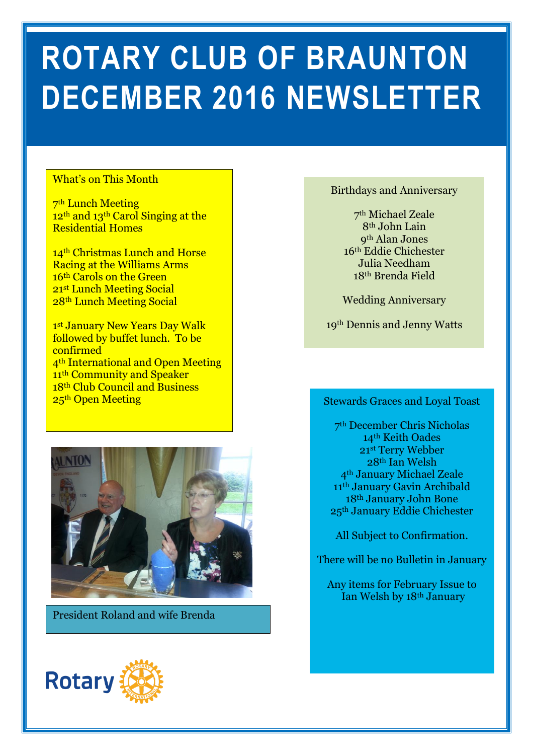# **ROTARY CLUB OF BRAUNTON DECEMBER 2016 NEWSLETTER**

### What's on This Month

7<sup>th</sup> Lunch Meeting 12<sup>th</sup> and 13<sup>th</sup> Carol Singing at the Residential Homes

14<sup>th</sup> Christmas Lunch and Horse Racing at the Williams Arms 16<sup>th</sup> Carols on the Green 21st Lunch Meeting Social 28th Lunch Meeting Social

1st January New Years Day Walk followed by buffet lunch. To be confirmed 4<sup>th</sup> International and Open Meeting 11<sup>th</sup> Community and Speaker 18<sup>th</sup> Club Council and Business<br>25<sup>th</sup> Open Meeting



President Roland and wife Brenda



### Birthdays and Anniversary

th Michael Zeale th John Lain th Alan Jones th Eddie Chichester Julia Needham th Brenda Field

Wedding Anniversary

19th Dennis and Jenny Watts

## 25<sup>th</sup> Open Meeting Stewards Graces and Loyal Toast Stewards Graces and Loyal Toast

th December Chris Nicholas 14<sup>th</sup> Keith Oades st Terry Webber th Ian Welsh th January Michael Zeale th January Gavin Archibald th January John Bone th January Eddie Chichester

All Subject to Confirmation.

There will be no Bulletin in January

Any items for February Issue to Ian Welsh by 18th January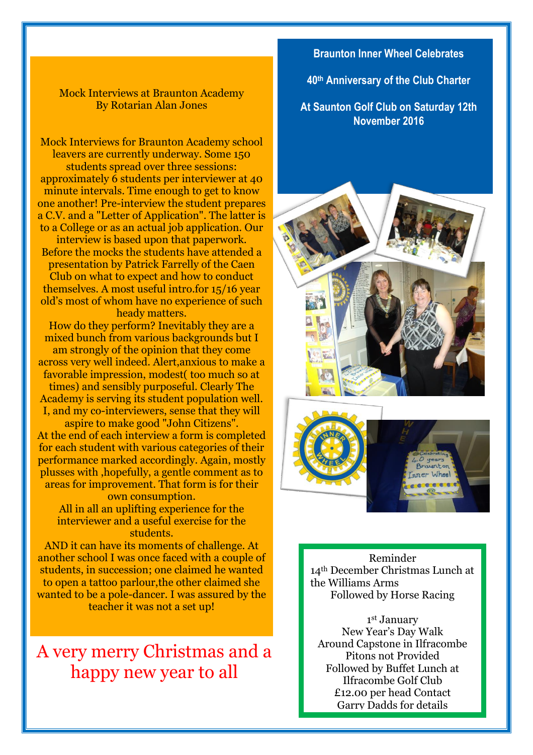### Mock Interviews at Braunton Academy By Rotarian Alan Jones

Mock Interviews for Braunton Academy school leavers are currently underway. Some 150 students spread over three sessions: approximately 6 students per interviewer at 40 minute intervals. Time enough to get to know one another! Pre-interview the student prepares a C.V. and a "Letter of Application". The latter is to a College or as an actual job application. Our interview is based upon that paperwork. Before the mocks the students have attended a presentation by Patrick Farrelly of the Caen Club on what to expect and how to conduct themselves. A most useful intro.for 15/16 year old's most of whom have no experience of such heady matters.

How do they perform? Inevitably they are a mixed bunch from various backgrounds but I am strongly of the opinion that they come across very well indeed. Alert,anxious to make a favorable impression, modest( too much so at times) and sensibly purposeful. Clearly The Academy is serving its student population well. I, and my co-interviewers, sense that they will aspire to make good "John Citizens".

At the end of each interview a form is completed for each student with various categories of their performance marked accordingly. Again, mostly plusses with ,hopefully, a gentle comment as to areas for improvement. That form is for their own consumption.

All in all an uplifting experience for the interviewer and a useful exercise for the students.

AND it can have its moments of challenge. At another school I was once faced with a couple of students, in succession; one claimed he wanted to open a tattoo parlour,the other claimed she wanted to be a pole-dancer. I was assured by the teacher it was not a set up!

### A very merry Christmas and a happy new year to all

### **Braunton Inner Wheel Celebrates**

**40th Anniversary of the Club Charter**

**At Saunton Golf Club on Saturday 12th November 2016**



Reminder 14th December Christmas Lunch at the Williams Arms Followed by Horse Racing

h Around Capstone in Ilfracombe Followed by Buffet Lunch at s £12.00 per head Contact 1 st January New Year's Day Walk Pitons not Provided Ilfracombe Golf Club Garry Dadds for details

o A